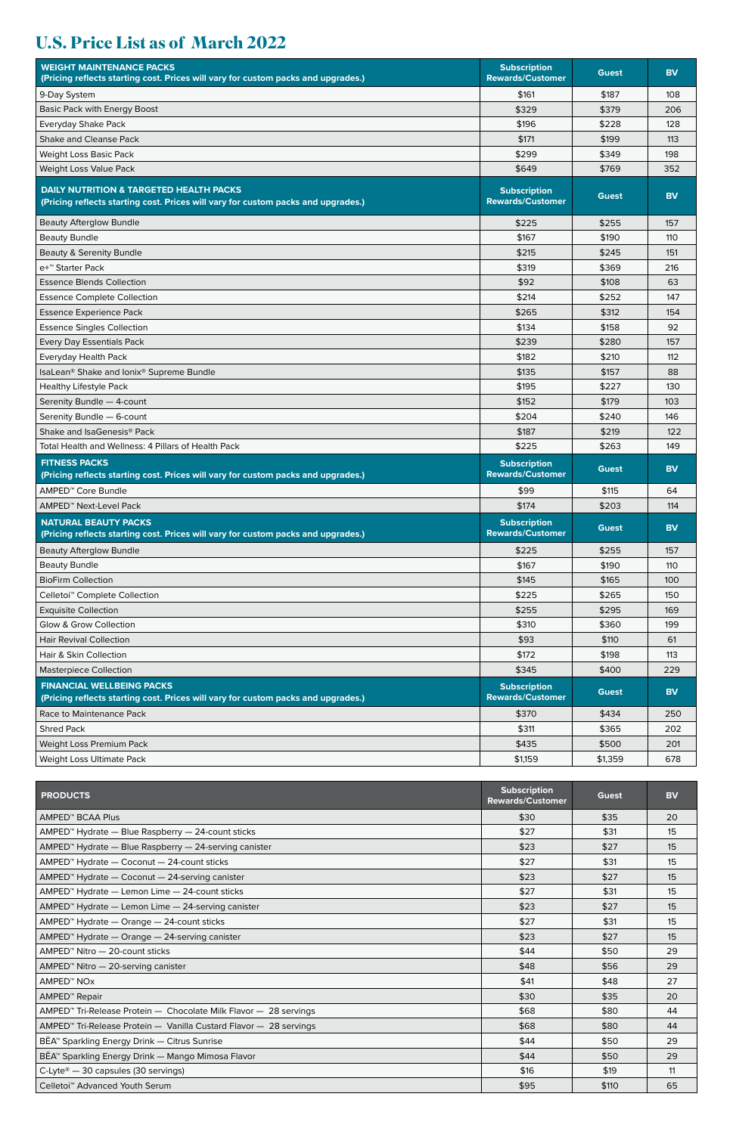## **U.S. Price List as of March 2022**

| <b>WEIGHT MAINTENANCE PACKS</b><br>(Pricing reflects starting cost. Prices will vary for custom packs and upgrades.)                    | <b>Subscription</b><br><b>Rewards/Customer</b> | <b>Guest</b> | <b>BV</b> |
|-----------------------------------------------------------------------------------------------------------------------------------------|------------------------------------------------|--------------|-----------|
| 9-Day System                                                                                                                            | \$161                                          | \$187        | 108       |
| <b>Basic Pack with Energy Boost</b>                                                                                                     | \$329                                          | \$379        | 206       |
| Everyday Shake Pack                                                                                                                     | \$196                                          | \$228        | 128       |
| Shake and Cleanse Pack                                                                                                                  | \$171                                          | \$199        | 113       |
| Weight Loss Basic Pack                                                                                                                  | \$299                                          | \$349        | 198       |
| Weight Loss Value Pack                                                                                                                  | \$649                                          | \$769        | 352       |
| <b>DAILY NUTRITION &amp; TARGETED HEALTH PACKS</b><br>(Pricing reflects starting cost. Prices will vary for custom packs and upgrades.) | <b>Subscription</b><br><b>Rewards/Customer</b> | <b>Guest</b> | <b>BV</b> |
| <b>Beauty Afterglow Bundle</b>                                                                                                          | \$225                                          | \$255        | 157       |
| <b>Beauty Bundle</b>                                                                                                                    | \$167                                          | \$190        | 110       |
| Beauty & Serenity Bundle                                                                                                                | \$215                                          | \$245        | 151       |
| e+™ Starter Pack                                                                                                                        | \$319                                          | \$369        | 216       |
| <b>Essence Blends Collection</b>                                                                                                        | \$92                                           | \$108        | 63        |
| <b>Essence Complete Collection</b>                                                                                                      | \$214                                          | \$252        | 147       |
| <b>Essence Experience Pack</b>                                                                                                          | \$265                                          | \$312        | 154       |
| <b>Essence Singles Collection</b>                                                                                                       | \$134                                          | \$158        | 92        |
| Every Day Essentials Pack                                                                                                               | \$239                                          | \$280        | 157       |
| <b>Everyday Health Pack</b>                                                                                                             | \$182                                          | \$210        | 112       |
| IsaLean® Shake and Ionix® Supreme Bundle                                                                                                | \$135                                          | \$157        | 88        |
| <b>Healthy Lifestyle Pack</b>                                                                                                           | \$195                                          | \$227        | 130       |
| Serenity Bundle - 4-count                                                                                                               | \$152                                          | \$179        | 103       |
| Serenity Bundle - 6-count                                                                                                               | \$204                                          | \$240        | 146       |
| Shake and IsaGenesis <sup>®</sup> Pack                                                                                                  | \$187                                          | \$219        | 122       |
| Total Health and Wellness: 4 Pillars of Health Pack                                                                                     | \$225                                          | \$263        | 149       |
| <b>FITNESS PACKS</b><br>(Pricing reflects starting cost. Prices will vary for custom packs and upgrades.)                               | <b>Subscription</b><br><b>Rewards/Customer</b> | Guest        | <b>BV</b> |
| AMPED <sup>™</sup> Core Bundle                                                                                                          | \$99                                           | \$115        | 64        |
| AMPED <sup>™</sup> Next-Level Pack                                                                                                      | \$174                                          | \$203        | 114       |
| <b>NATURAL BEAUTY PACKS</b><br>(Pricing reflects starting cost. Prices will vary for custom packs and upgrades.)                        | <b>Subscription</b><br><b>Rewards/Customer</b> | Guest        | <b>BV</b> |
| <b>Beauty Afterglow Bundle</b>                                                                                                          | \$225                                          | \$255        | 157       |
| <b>Beauty Bundle</b>                                                                                                                    | \$167                                          | \$190        | 110       |
| <b>BioFirm Collection</b>                                                                                                               | \$145                                          | \$165        | 100       |
| Celletoi <sup>™</sup> Complete Collection                                                                                               | \$225                                          | \$265        | 150       |
| <b>Exquisite Collection</b>                                                                                                             | \$255                                          | \$295        | 169       |
| Glow & Grow Collection                                                                                                                  | \$310                                          | \$360        | 199       |
| <b>Hair Revival Collection</b>                                                                                                          | \$93                                           | \$110        | 61        |
| Hair & Skin Collection                                                                                                                  | \$172                                          | \$198        | 113       |
| <b>Masterpiece Collection</b>                                                                                                           | \$345                                          | \$400        | 229       |
| <b>FINANCIAL WELLBEING PACKS</b><br>(Pricing reflects starting cost. Prices will vary for custom packs and upgrades.)                   | <b>Subscription</b><br><b>Rewards/Customer</b> | Guest        | <b>BV</b> |
| Race to Maintenance Pack                                                                                                                | \$370                                          | \$434        | 250       |
| <b>Shred Pack</b>                                                                                                                       | \$311                                          | \$365        | 202       |
| Weight Loss Premium Pack                                                                                                                | \$435                                          | \$500        | 201       |
| Weight Loss Ultimate Pack                                                                                                               | \$1,159                                        | \$1,359      | 678       |

| <b>PRODUCTS</b>                                                               | Subscription<br><b>Rewards/Customer</b> | Guest | <b>BV</b> |
|-------------------------------------------------------------------------------|-----------------------------------------|-------|-----------|
| AMPED <sup>™</sup> BCAA Plus                                                  | \$30                                    | \$35  | 20        |
| AMPED <sup>™</sup> Hydrate — Blue Raspberry — 24-count sticks                 | \$27                                    | \$31  | 15        |
| AMPED <sup>™</sup> Hydrate - Blue Raspberry - 24-serving canister             | \$23                                    | \$27  | 15        |
| AMPED <sup>™</sup> Hydrate - Coconut - 24-count sticks                        | \$27                                    | \$31  | 15        |
| AMPED <sup>™</sup> Hydrate - Coconut - 24-serving canister                    | \$23                                    | \$27  | 15        |
| AMPED <sup>™</sup> Hydrate - Lemon Lime - 24-count sticks                     | \$27                                    | \$31  | 15        |
| AMPED <sup>™</sup> Hydrate — Lemon Lime — 24-serving canister                 | \$23                                    | \$27  | 15        |
| AMPED <sup>™</sup> Hydrate — Orange — 24-count sticks                         | \$27                                    | \$31  | 15        |
| AMPED <sup>™</sup> Hydrate — Orange — 24-serving canister                     | \$23                                    | \$27  | 15        |
| $AMPED™ Nitro – 20$ -count sticks                                             | \$44                                    | \$50  | 29        |
| AMPED <sup>™</sup> Nitro - 20-serving canister                                | \$48                                    | \$56  | 29        |
| AMPED <sup>™</sup> NO <sub>X</sub>                                            | \$41                                    | \$48  | 27        |
| AMPED <sup>™</sup> Repair                                                     | \$30                                    | \$35  | 20        |
| AMPED <sup>™</sup> Tri-Release Protein — Chocolate Milk Flavor — 28 servings  | \$68                                    | \$80  | 44        |
| AMPED <sup>™</sup> Tri-Release Protein - Vanilla Custard Flavor - 28 servings | \$68                                    | \$80  | 44        |
| BĒA <sup>™</sup> Sparkling Energy Drink — Citrus Sunrise                      | \$44                                    | \$50  | 29        |
| BĒA <sup>™</sup> Sparkling Energy Drink — Mango Mimosa Flavor                 | \$44                                    | \$50  | 29        |
| C-Lyte® - 30 capsules (30 servings)                                           | \$16                                    | \$19  | 11        |
| Celletoi <sup>™</sup> Advanced Youth Serum                                    | \$95                                    | \$110 | 65        |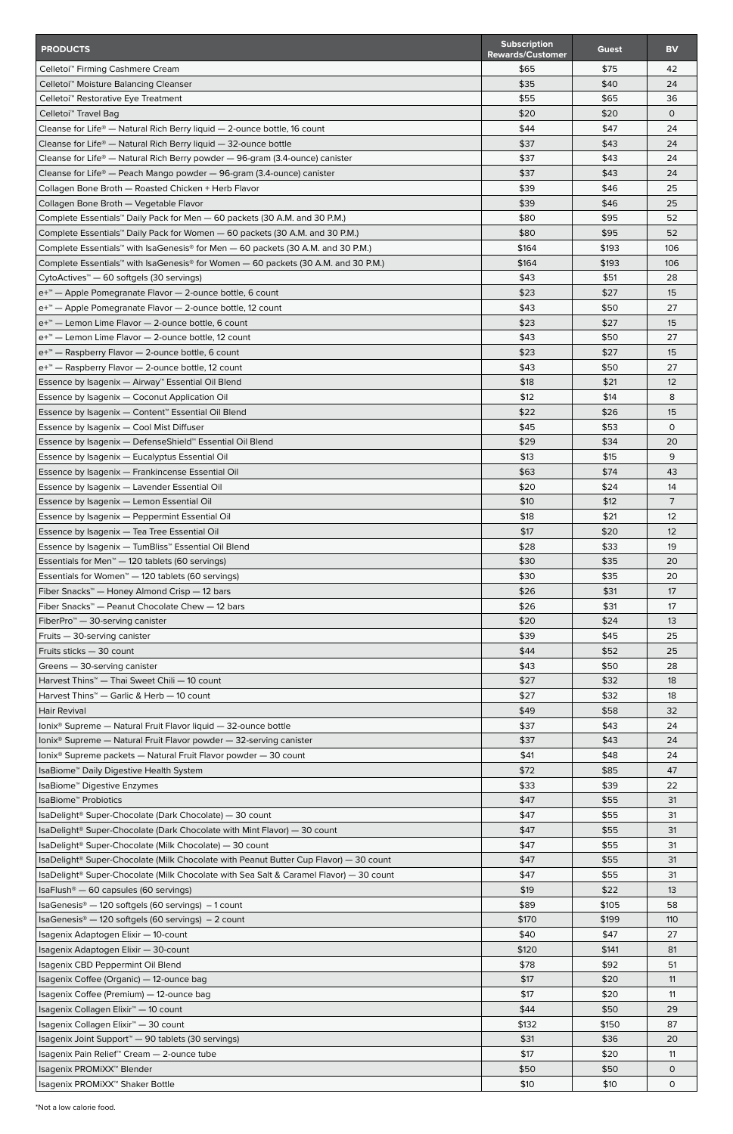| <b>PRODUCTS</b>                                                                                                        | <b>Subscription</b><br><b>Rewards/Customer</b> | Guest        | <b>BV</b>     |
|------------------------------------------------------------------------------------------------------------------------|------------------------------------------------|--------------|---------------|
| Celletoi <sup>™</sup> Firming Cashmere Cream                                                                           | \$65                                           | \$75         | 42            |
| Celletoi <sup>™</sup> Moisture Balancing Cleanser                                                                      | \$35                                           | \$40         | 24            |
| Celletoi <sup>™</sup> Restorative Eye Treatment                                                                        | \$55                                           | \$65         | 36            |
| Celletoi <sup>™</sup> Travel Bag                                                                                       | \$20                                           | \$20         | $\mathsf{O}$  |
| Cleanse for Life <sup>®</sup> — Natural Rich Berry liquid — 2-ounce bottle, 16 count                                   | \$44                                           | \$47         | 24            |
| Cleanse for Life <sup>®</sup> $-$ Natural Rich Berry liquid $-$ 32-ounce bottle                                        | \$37                                           | \$43         | 24            |
| Cleanse for Life <sup>®</sup> — Natural Rich Berry powder — 96-gram (3.4-ounce) canister                               | \$37                                           | \$43         | 24            |
| Cleanse for Life® — Peach Mango powder — 96-gram (3.4-ounce) canister                                                  | \$37                                           | \$43         | 24            |
| Collagen Bone Broth - Roasted Chicken + Herb Flavor                                                                    | \$39                                           | \$46         | 25            |
| Collagen Bone Broth - Vegetable Flavor                                                                                 | \$39                                           | \$46         | 25            |
| Complete Essentials™ Daily Pack for Men — 60 packets (30 A.M. and 30 P.M.)                                             | \$80                                           | \$95         | 52            |
| Complete Essentials™ Daily Pack for Women — 60 packets (30 A.M. and 30 P.M.)                                           | \$80                                           | \$95         | 52            |
| Complete Essentials™ with IsaGenesis® for Men - 60 packets (30 A.M. and 30 P.M.)                                       | \$164                                          | \$193        | 106           |
| Complete Essentials™ with IsaGenesis® for Women — 60 packets (30 A.M. and 30 P.M.)                                     | \$164                                          | \$193        | 106           |
| CytoActives <sup>™</sup> — 60 softgels (30 servings)                                                                   | \$43                                           | \$51         | 28            |
| e+ <sup>™</sup> — Apple Pomegranate Flavor — 2-ounce bottle, 6 count                                                   | \$23                                           | \$27         | 15            |
| e+ <sup>™</sup> — Apple Pomegranate Flavor — 2-ounce bottle, 12 count                                                  | \$43                                           | \$50         | 27            |
| e+ <sup>™</sup> — Lemon Lime Flavor — 2-ounce bottle, 6 count                                                          | \$23                                           | \$27         | 15            |
| e <sup>+™</sup> – Lemon Lime Flavor – 2-ounce bottle, 12 count                                                         | \$43                                           | \$50         | 27            |
| e+ <sup>™</sup> — Raspberry Flavor — 2-ounce bottle, 6 count                                                           | \$23                                           | \$27         | 15            |
| e <sup>+™</sup> — Raspberry Flavor — 2-ounce bottle, 12 count                                                          | \$43                                           | \$50         | 27            |
| Essence by Isagenix — Airway™ Essential Oil Blend                                                                      | \$18                                           | \$21         | 12            |
| Essence by Isagenix - Coconut Application Oil                                                                          | \$12<br>\$22                                   | \$14         | 8<br>15       |
| Essence by Isagenix - Content <sup>*</sup> Essential Oil Blend                                                         | \$45                                           | \$26<br>\$53 | 0             |
| Essence by Isagenix - Cool Mist Diffuser<br>Essence by Isagenix — DefenseShield™ Essential Oil Blend                   | \$29                                           | \$34         | 20            |
| Essence by Isagenix - Eucalyptus Essential Oil                                                                         | \$13                                           | \$15         | 9             |
| Essence by Isagenix - Frankincense Essential Oil                                                                       | \$63                                           | \$74         | 43            |
| Essence by Isagenix - Lavender Essential Oil                                                                           | \$20                                           | \$24         | 14            |
| Essence by Isagenix - Lemon Essential Oil                                                                              | \$10                                           | \$12         | 7             |
| Essence by Isagenix - Peppermint Essential Oil                                                                         | \$18                                           | \$21         | 12            |
| Essence by Isagenix - Tea Tree Essential Oil                                                                           | \$17                                           | \$20         | 12            |
| Essence by Isagenix — TumBliss™ Essential Oil Blend                                                                    | \$28                                           | \$33         | 19            |
| Essentials for Men <sup>™</sup> — 120 tablets (60 servings)                                                            | \$30                                           | \$35         | 20            |
| Essentials for Women <sup>™</sup> - 120 tablets (60 servings)                                                          | \$30                                           | \$35         | 20            |
| Fiber Snacks™ — Honey Almond Crisp — 12 bars                                                                           | \$26                                           | \$31         | 17            |
| Fiber Snacks <sup>™</sup> — Peanut Chocolate Chew — 12 bars                                                            | \$26                                           | \$31         | 17            |
| FiberPro <sup><math>M</math></sup> - 30-serving canister                                                               | \$20                                           | \$24         | 13            |
| Fruits - 30-serving canister                                                                                           | \$39                                           | \$45         | 25            |
| Fruits sticks - 30 count                                                                                               | \$44                                           | \$52         | 25            |
| Greens - 30-serving canister                                                                                           | \$43                                           | \$50         | 28            |
| Harvest Thins <sup>™</sup> — Thai Sweet Chili — 10 count                                                               | \$27                                           | \$32         | 18            |
| Harvest Thins <sup>™</sup> — Garlic & Herb — 10 count                                                                  | \$27                                           | \$32         | 18            |
| Hair Revival                                                                                                           | \$49                                           | \$58         | 32            |
| Ionix <sup>®</sup> Supreme — Natural Fruit Flavor liquid — 32-ounce bottle                                             | \$37                                           | \$43         | 24            |
| Ionix <sup>®</sup> Supreme — Natural Fruit Flavor powder — 32-serving canister                                         | \$37                                           | \$43         | 24            |
| Ionix <sup>®</sup> Supreme packets — Natural Fruit Flavor powder — 30 count<br>IsaBiome™ Daily Digestive Health System | \$41<br>\$72                                   | \$48<br>\$85 | 24<br>47      |
| IsaBiome™ Digestive Enzymes                                                                                            | \$33                                           | \$39         | 22            |
| IsaBiome <sup>™</sup> Probiotics                                                                                       | \$47                                           | \$55         | 31            |
| IsaDelight <sup>®</sup> Super-Chocolate (Dark Chocolate) — 30 count                                                    | \$47                                           | \$55         | 31            |
| $Isa$ Delight <sup>®</sup> Super-Chocolate (Dark Chocolate with Mint Flavor) — 30 count                                | \$47                                           | \$55         | 31            |
| IsaDelight <sup>®</sup> Super-Chocolate (Milk Chocolate) — 30 count                                                    | \$47                                           | \$55         | 31            |
| IsaDelight <sup>®</sup> Super-Chocolate (Milk Chocolate with Peanut Butter Cup Flavor) — 30 count                      | \$47                                           | \$55         | 31            |
| IsaDelight <sup>®</sup> Super-Chocolate (Milk Chocolate with Sea Salt & Caramel Flavor) — 30 count                     | \$47                                           | \$55         | 31            |
| IsaFlush <sup>®</sup> — 60 capsules (60 servings)                                                                      | \$19                                           | \$22         | 13            |
| IsaGenesis® - 120 softgels (60 servings) - 1 count                                                                     | \$89                                           | \$105        | 58            |
| IsaGenesis® - 120 softgels (60 servings) - 2 count                                                                     | \$170                                          | \$199        | 110           |
| Isagenix Adaptogen Elixir - 10-count                                                                                   | \$40                                           | \$47         | 27            |
| Isagenix Adaptogen Elixir - 30-count                                                                                   | \$120                                          | \$141        | 81            |
| Isagenix CBD Peppermint Oil Blend                                                                                      | \$78                                           | \$92         | 51            |
| Isagenix Coffee (Organic) - 12-ounce bag                                                                               | \$17                                           | \$20         | 11            |
| Isagenix Coffee (Premium) - 12-ounce bag                                                                               |                                                |              |               |
|                                                                                                                        | \$17                                           | \$20         | 11            |
| Isagenix Collagen Elixir <sup>™</sup> - 10 count                                                                       | \$44                                           | \$50         | 29            |
| Isagenix Collagen Elixir <sup>™</sup> — 30 count                                                                       | \$132                                          | \$150        | 87            |
| Isagenix Joint Support <sup>™</sup> - 90 tablets (30 servings)                                                         | \$31                                           | \$36         | 20            |
| Isagenix Pain Relief™ Cream — 2-ounce tube<br>Isagenix PROMiXX <sup>™</sup> Blender                                    | \$17<br>\$50                                   | \$20<br>\$50 | 11<br>$\circ$ |